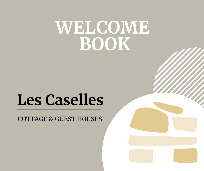# **WELCOME BOOK**

# **Les Caselles**

COTTAGE & GUEST HOUSES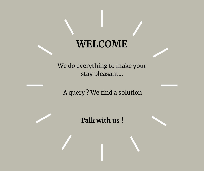### **WELCOME**

We do everything to make your stay pleasant...

A query ? We find a solution

### **Talk with us !**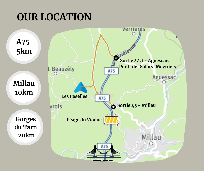## **OUR LOCATION**

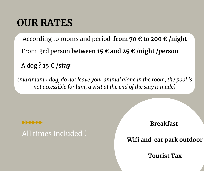### **OUR RATES**

According to rooms and period **from 70 € to 200 € /night** From 3rd person **between 15 € and 25 € /night /person** A dog ? **15 € /stay**

*(maximum 1 dog, do not leave your animal alone in the room, the pool is not accessible for him, a visit at the end of the stay is made)*

**PPPPPP** All times included ! **Breakfast**

**Wifi and car park outdoor**

**Tourist Tax**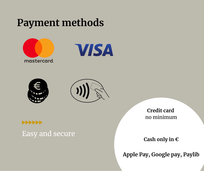### **Payment methods**









**>>>>>>>** Easy and secure

**Credit card** no minimum

**Cash only in €**

**Apple Pay, Google pay, Paylib**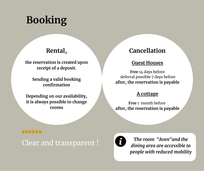## **Booking**

### **Rental,**

**the reservation is created upon receipt of a deposit.**

> **Sending a valid booking confirmation**

**Depending on our availability, it is always possible to change rooms**

#### **Cancellation**

#### **Guest Houses**

**Free** 14 days before deferral possible 7 days before **after, the reservation is payable**

#### **A cottage**

**Free** 1 month before **after, the reservation is payable**

### **PPPPPP** Clear and transparent !



*The room "Aven"and the dining area are accessible to people with reduced mobility*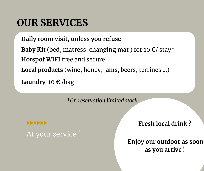### **OUR SERVICES**

**Daily room visit, unless you refuse**

**Baby Kit** (bed, matress, changing mat ) for 10 €/ stay\*

**Hotspot WIFI** free and secure

**Local products** (wine, honey, jams, beers, terrines ...)

**Laundry** 10  $\epsilon$  /bag

*\*On reservation limited stock*

**PPPPPP** At your service ! **Fresh local drink ?**

**Enjoy our outdoor as soon as you arrive !**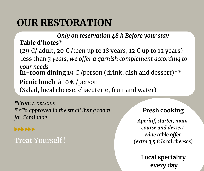## **OUR RESTORATION**

**Table d'hôtes\*** *Only on reservation 48 h Before your stay*

 $(29 \notin$  adult, 20  $\in$  /teen up to 18 years, 12  $\in$  up to 12 years) less than *3 years, we offer a garnish complement according to your needs* **Picnic lunch** à 10 € /person (Salad, local cheese, chacuterie, fruit and water) **In-room dining** 19 € /person (drink, dish and dessert)\*\*

*\*From 4 persons \*\*To approved in the small living room for Caminade*

#### **>>>>>>>**

### Treat Yourself !

### **Fresh cooking**

*Aperitif, starter, main course and dessert wine table offer (extra 3,5 € local cheeses)*

> **Local speciality every day**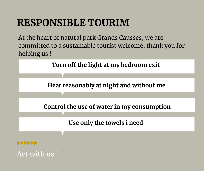## **RESPONSIBLE TOURIM**

At the heart of natural park Grands Causses, we are committed to a sustainable tourist welcome, thank you for helping us !

**Turn off the light at my bedroom exit**

**Heat reasonably at night and without me**

**Control the use of water in my consumption**

**Use only the towels i need**



Act with us !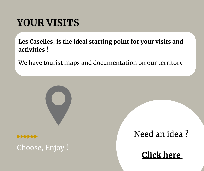### **YOUR VISITS**

**Les Caselles, is the ideal starting point for your visits and activities !**

We have tourist maps and documentation on our territory

**PPPPPP** 

Choose, Enjoy !

Need an idea ?

**[Click](https://www.chambresdhotesmillauaveyron.com/en-gb/tourisme/activit%C3%A9s.aspx) her[e](https://www.chambresdhotesmillauaveyron.com/en-gb/tourisme/activit%C3%A9s.aspx)**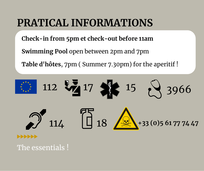## **PRATICAL INFORMATIONS**

**Check-in from 5pm et check-out before 11am**

**Swimming Pool** open between 2pm and 7pm

**Table d'hôtes**, 7pm ( Summer 7.30pm) for the aperitif !

112  $\frac{17}{21}$  17  $\frac{12}{21}$  15  $\rightarrow$  3966 114 18 **+33 (0)5 61 77 74 47**

The essentials !